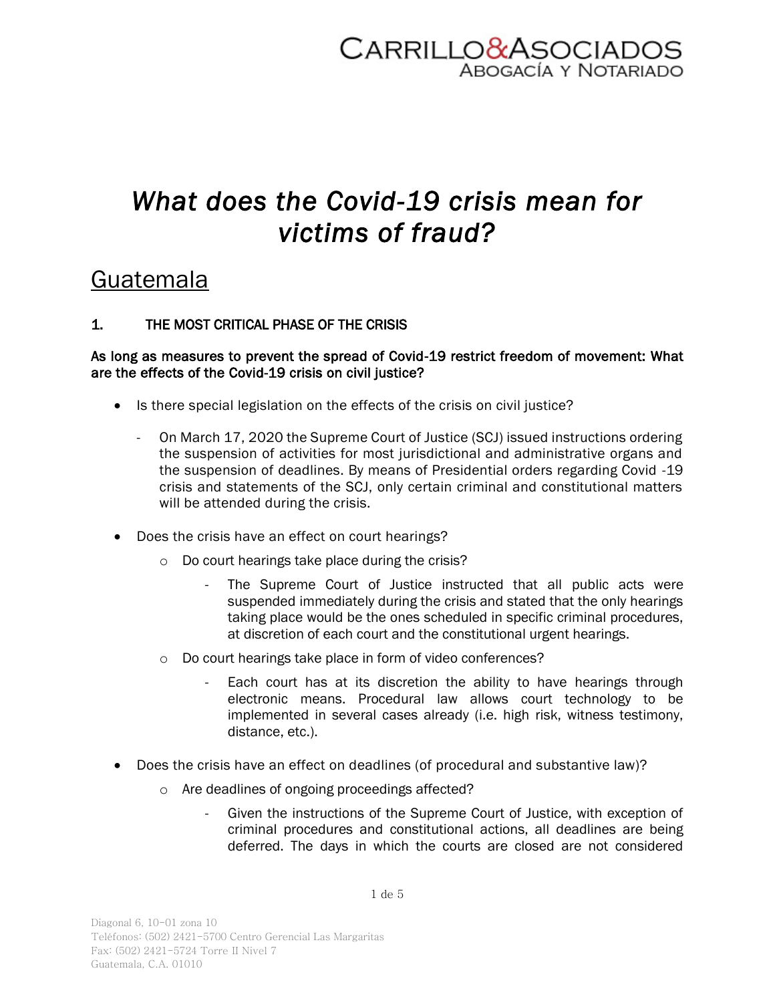

## *What does the Covid-19 crisis mean for victims of fraud?*

### Guatemala

### 1. THE MOST CRITICAL PHASE OF THE CRISIS

#### As long as measures to prevent the spread of Covid-19 restrict freedom of movement: What are the effects of the Covid-19 crisis on civil justice?

- Is there special legislation on the effects of the crisis on civil justice?
	- On March 17, 2020 the Supreme Court of Justice (SCJ) issued instructions ordering the suspension of activities for most jurisdictional and administrative organs and the suspension of deadlines. By means of Presidential orders regarding Covid -19 crisis and statements of the SCJ, only certain criminal and constitutional matters will be attended during the crisis.
- Does the crisis have an effect on court hearings?
	- o Do court hearings take place during the crisis?
		- The Supreme Court of Justice instructed that all public acts were suspended immediately during the crisis and stated that the only hearings taking place would be the ones scheduled in specific criminal procedures, at discretion of each court and the constitutional urgent hearings.
	- o Do court hearings take place in form of video conferences?
		- Each court has at its discretion the ability to have hearings through electronic means. Procedural law allows court technology to be implemented in several cases already (i.e. high risk, witness testimony, distance, etc.).
- Does the crisis have an effect on deadlines (of procedural and substantive law)?
	- o Are deadlines of ongoing proceedings affected?
		- Given the instructions of the Supreme Court of Justice, with exception of criminal procedures and constitutional actions, all deadlines are being deferred. The days in which the courts are closed are not considered

Diagonal 6, 10-01 zona 10 Teléfonos: (502) 2421-5700 Centro Gerencial Las Margaritas Fax: (502) 2421-5724 Torre II Nivel 7 Guatemala, C.A. 01010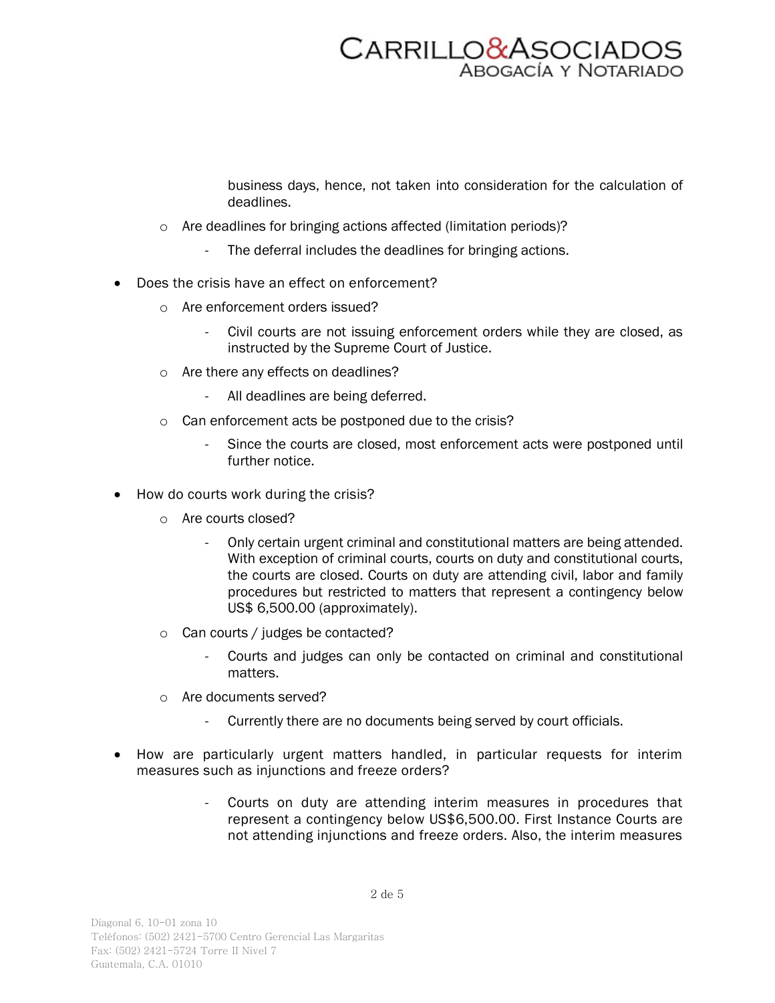# CARRILLO&ASOCIADOS

business days, hence, not taken into consideration for the calculation of deadlines.

- o Are deadlines for bringing actions affected (limitation periods)?
	- The deferral includes the deadlines for bringing actions.
- Does the crisis have an effect on enforcement?
	- o Are enforcement orders issued?
		- Civil courts are not issuing enforcement orders while they are closed, as instructed by the Supreme Court of Justice.
	- o Are there any effects on deadlines?
		- All deadlines are being deferred.
	- o Can enforcement acts be postponed due to the crisis?
		- Since the courts are closed, most enforcement acts were postponed until further notice.
- How do courts work during the crisis?
	- o Are courts closed?
		- Only certain urgent criminal and constitutional matters are being attended. With exception of criminal courts, courts on duty and constitutional courts, the courts are closed. Courts on duty are attending civil, labor and family procedures but restricted to matters that represent a contingency below US\$ 6,500.00 (approximately).
	- o Can courts / judges be contacted?
		- Courts and judges can only be contacted on criminal and constitutional matters.
	- o Are documents served?
		- Currently there are no documents being served by court officials.
- How are particularly urgent matters handled, in particular requests for interim measures such as injunctions and freeze orders?
	- Courts on duty are attending interim measures in procedures that represent a contingency below US\$6,500.00. First Instance Courts are not attending injunctions and freeze orders. Also, the interim measures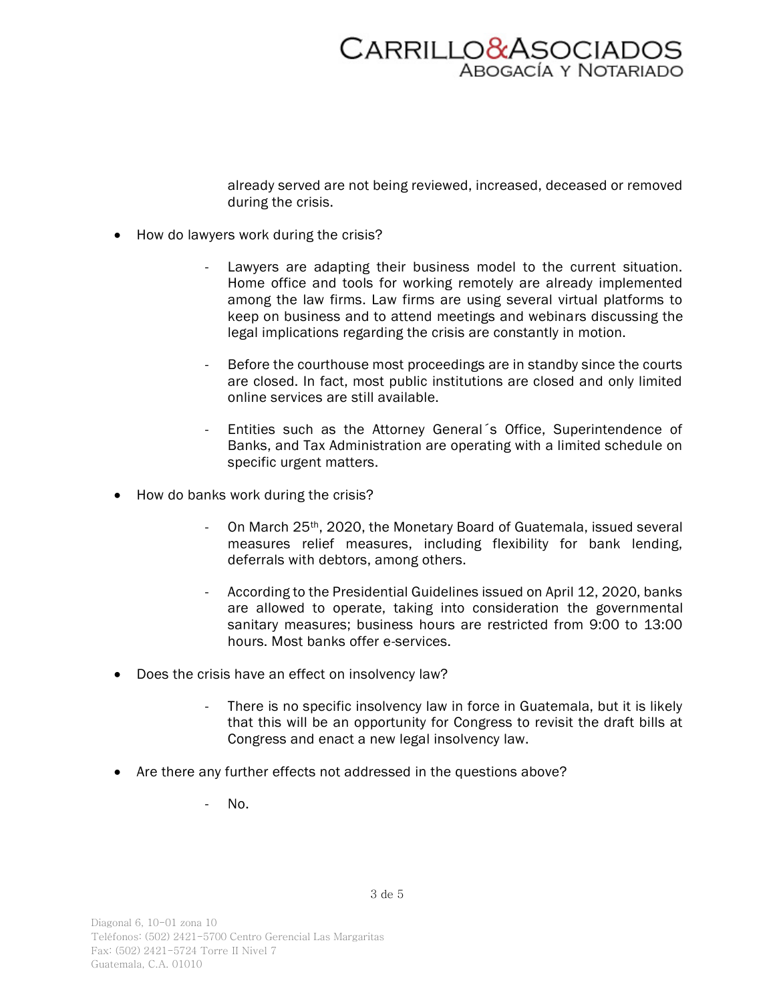

already served are not being reviewed, increased, deceased or removed during the crisis.

- How do lawyers work during the crisis?
	- Lawyers are adapting their business model to the current situation. Home office and tools for working remotely are already implemented among the law firms. Law firms are using several virtual platforms to keep on business and to attend meetings and webinars discussing the legal implications regarding the crisis are constantly in motion.
	- Before the courthouse most proceedings are in standby since the courts are closed. In fact, most public institutions are closed and only limited online services are still available.
	- Entities such as the Attorney General's Office, Superintendence of Banks, and Tax Administration are operating with a limited schedule on specific urgent matters.
- How do banks work during the crisis?
	- On March 25<sup>th</sup>, 2020, the Monetary Board of Guatemala, issued several measures relief measures, including flexibility for bank lending, deferrals with debtors, among others.
	- According to the Presidential Guidelines issued on April 12, 2020, banks are allowed to operate, taking into consideration the governmental sanitary measures; business hours are restricted from 9:00 to 13:00 hours. Most banks offer e-services.
- Does the crisis have an effect on insolvency law?
	- There is no specific insolvency law in force in Guatemala, but it is likely that this will be an opportunity for Congress to revisit the draft bills at Congress and enact a new legal insolvency law.
- Are there any further effects not addressed in the questions above?
	- $N_{\Omega}$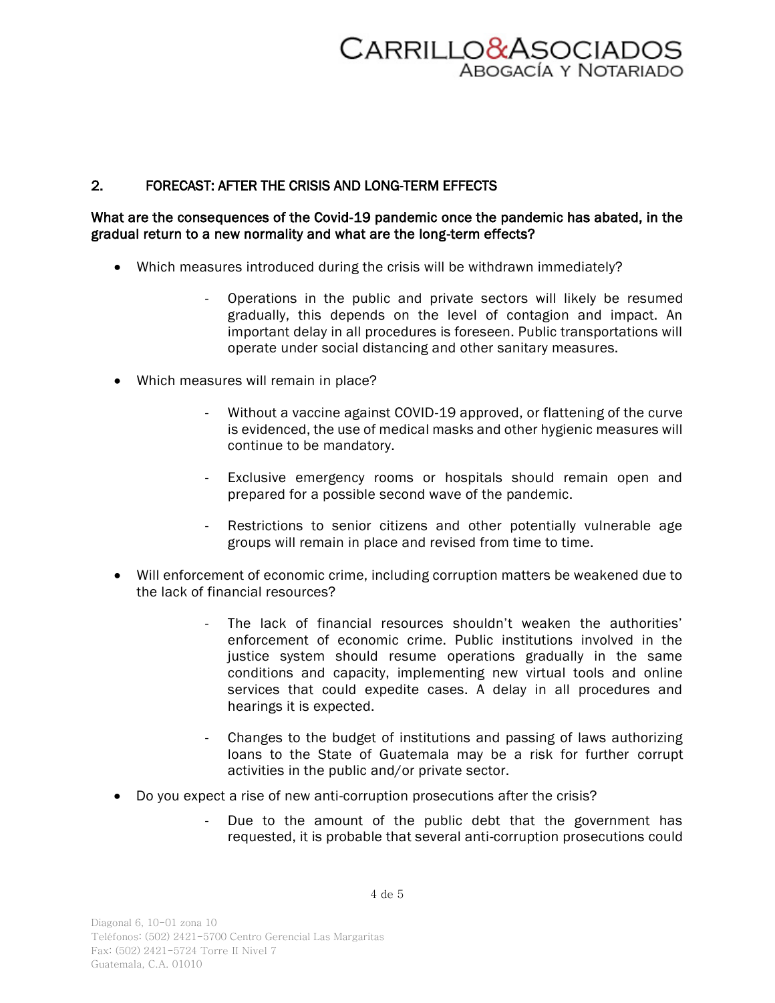

### 2. FORECAST: AFTER THE CRISIS AND LONG-TERM EFFECTS

### What are the consequences of the Covid-19 pandemic once the pandemic has abated, in the gradual return to a new normality and what are the long-term effects?

- Which measures introduced during the crisis will be withdrawn immediately?
	- Operations in the public and private sectors will likely be resumed gradually, this depends on the level of contagion and impact. An important delay in all procedures is foreseen. Public transportations will operate under social distancing and other sanitary measures.
- Which measures will remain in place?
	- Without a vaccine against COVID-19 approved, or flattening of the curve is evidenced, the use of medical masks and other hygienic measures will continue to be mandatory.
	- Exclusive emergency rooms or hospitals should remain open and prepared for a possible second wave of the pandemic.
	- Restrictions to senior citizens and other potentially vulnerable age groups will remain in place and revised from time to time.
- Will enforcement of economic crime, including corruption matters be weakened due to the lack of financial resources?
	- The lack of financial resources shouldn't weaken the authorities' enforcement of economic crime. Public institutions involved in the justice system should resume operations gradually in the same conditions and capacity, implementing new virtual tools and online services that could expedite cases. A delay in all procedures and hearings it is expected.
	- Changes to the budget of institutions and passing of laws authorizing loans to the State of Guatemala may be a risk for further corrupt activities in the public and/or private sector.
- Do you expect a rise of new anti-corruption prosecutions after the crisis?
	- Due to the amount of the public debt that the government has requested, it is probable that several anti-corruption prosecutions could